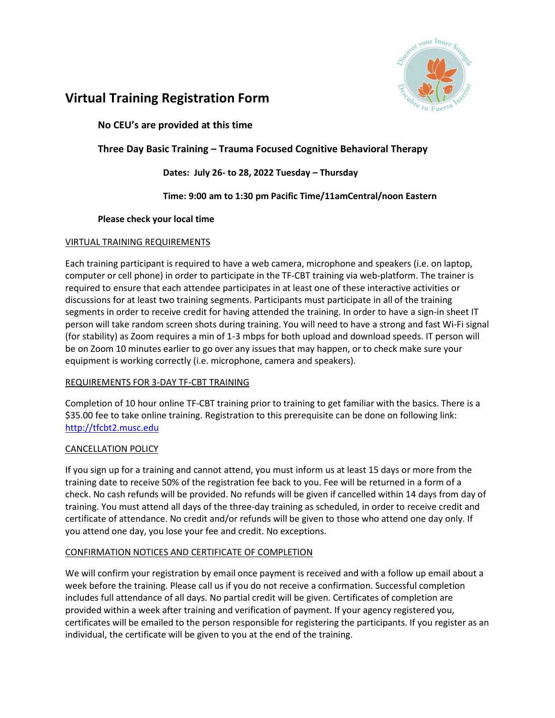

# **Virtual Training Registration Form**

**No CEU's are provided at this time**

# **Three Day Basic Training – Trauma Focused Cognitive Behavioral Therapy**

# **Dates: July 26- to 28, 2022 Tuesday – Thursday**

# **Time: 9:00 am to 1:30 pm Pacific Time/11amCentral/noon Eastern**

# **Please check your local time**

## VIRTUAL TRAINING REQUIREMENTS

Each training participant is required to have a web camera, microphone and speakers (i.e. on laptop, computer or cell phone) in order to participate in the TF-CBT training via web-platform. The trainer is required to ensure that each attendee participates in at least one of these interactive activities or discussions for at least two training segments. Participants must participate in all of the training segments in order to receive credit for having attended the training. In order to have a sign-in sheet IT person will take random screen shots during training. You will need to have a strong and fast Wi-Fi signal (for stability) as Zoom requires a min of 1-3 mbps for both upload and download speeds. IT person will be on Zoom 10 minutes earlier to go over any issues that may happen, or to check make sure your equipment is working correctly (i.e. microphone, camera and speakers).

## REQUIREMENTS FOR 3-DAY TF-CBT TRAINING

Completion of 10 hour online TF-CBT training prior to training to get familiar with the basics. There is a \$35.00 fee to take online training. Registration to this prerequisite can be done on following link: [http://tfcbt2.musc.edu](http://tfcbt2.musc.edu/)

## CANCELLATION POLICY

If you sign up for a training and cannot attend, you must inform us at least 15 days or more from the training date to receive 50% of the registration fee back to you. Fee will be returned in a form of a check. No cash refunds will be provided. No refunds will be given if cancelled within 14 days from day of training. You must attend all days of the three-day training as scheduled, in order to receive credit and certificate of attendance. No credit and/or refunds will be given to those who attend one day only. If you attend one day, you lose your fee and credit. No exceptions.

## CONFIRMATION NOTICES AND CERTIFICATE OF COMPLETION

We will confirm your registration by email once payment is received and with a follow up email about a week before the training. Please call us if you do not receive a confirmation. Successful completion includes full attendance of all days. No partial credit will be given. Certificates of completion are provided within a week after training and verification of payment. If your agency registered you, certificates will be emailed to the person responsible for registering the participants. If you register as an individual, the certificate will be given to you at the end of the training.